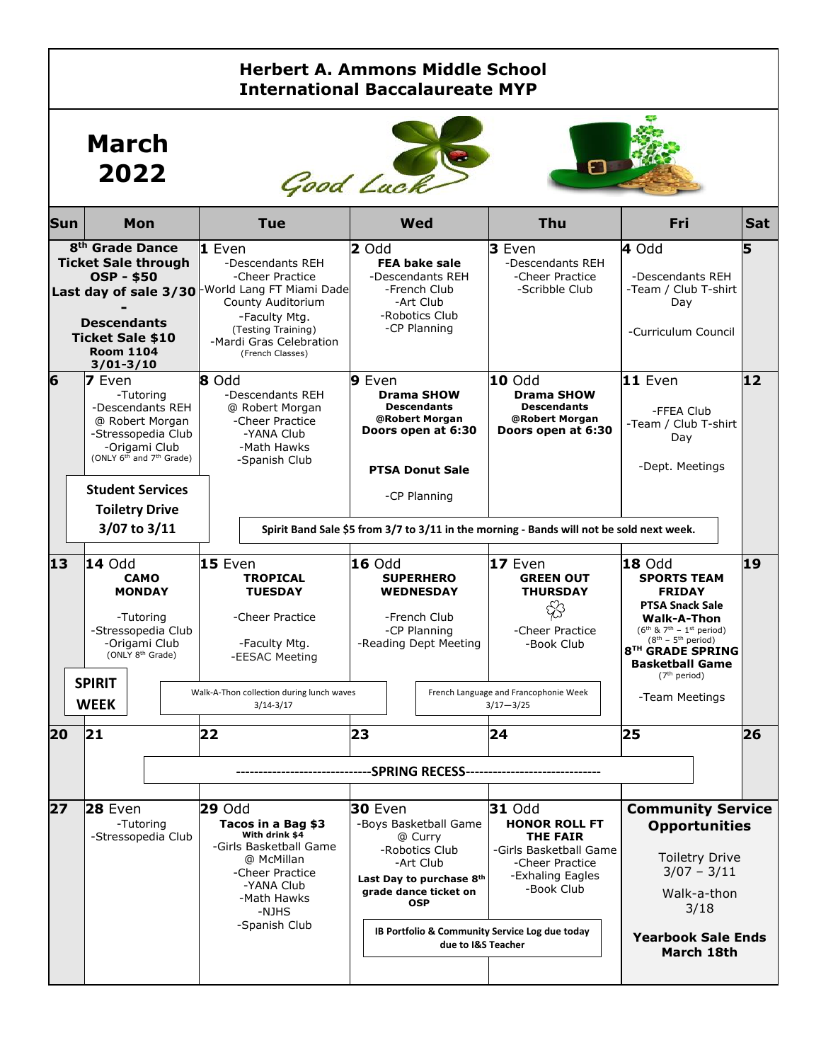### **Herbert A. Ammons Middle School International Baccalaureate MYP**

## **March 2022**





| <b>Sun</b> | Mon                                                                                                                                                                                                                       | <b>Tue</b>                                                                                                                                                                                                 | Wed                                                                                                                                                                                                                             | Thu                                                                                                                                     | Fri                                                                                                                                                                                                                                                     | <b>Sat</b> |
|------------|---------------------------------------------------------------------------------------------------------------------------------------------------------------------------------------------------------------------------|------------------------------------------------------------------------------------------------------------------------------------------------------------------------------------------------------------|---------------------------------------------------------------------------------------------------------------------------------------------------------------------------------------------------------------------------------|-----------------------------------------------------------------------------------------------------------------------------------------|---------------------------------------------------------------------------------------------------------------------------------------------------------------------------------------------------------------------------------------------------------|------------|
|            | 8 <sup>th</sup> Grade Dance<br><b>Ticket Sale through</b><br><b>OSP - \$50</b><br><b>Descendants</b><br><b>Ticket Sale \$10</b><br><b>Room 1104</b><br>$3/01 - 3/10$                                                      | 1 Even<br>-Descendants REH<br>-Cheer Practice<br>Last day of sale 3/30 World Lang FT Miami Dade<br>County Auditorium<br>-Faculty Mtg.<br>(Testing Training)<br>-Mardi Gras Celebration<br>(French Classes) | 2 Odd<br><b>FEA bake sale</b><br>-Descendants REH<br>-French Club<br>-Art Club<br>-Robotics Club<br>-CP Planning                                                                                                                | 3 Even<br>-Descendants REH<br>-Cheer Practice<br>-Scribble Club                                                                         | 4 Odd<br>-Descendants REH<br>-Team / Club T-shirt<br>Day<br>-Curriculum Council                                                                                                                                                                         | 5          |
| 6          | 7 Even<br>-Tutorina<br>-Descendants REH<br>@ Robert Morgan<br>-Stressopedia Club<br>-Origami Club<br>(ONLY 6 <sup>th</sup> and 7 <sup>th</sup> Grade)<br><b>Student Services</b><br><b>Toiletry Drive</b><br>3/07 to 3/11 | 8 Odd<br>-Descendants REH<br>@ Robert Morgan<br>-Cheer Practice<br>-YANA Club<br>-Math Hawks<br>-Spanish Club                                                                                              | 9 Even<br><b>Drama SHOW</b><br><b>Descendants</b><br>@Robert Morgan<br>Doors open at 6:30<br><b>PTSA Donut Sale</b><br>-CP Planning<br>Spirit Band Sale \$5 from 3/7 to 3/11 in the morning - Bands will not be sold next week. | 10 Odd<br><b>Drama SHOW</b><br><b>Descendants</b><br>@Robert Morgan<br>Doors open at 6:30                                               | $11$ Even<br>-FFEA Club<br>-Team / Club T-shirt<br>Day<br>-Dept. Meetings                                                                                                                                                                               | 12         |
| 13         | <b>14 Odd</b><br><b>CAMO</b><br><b>MONDAY</b><br>-Tutoring<br>-Stressopedia Club<br>-Origami Club<br>(ONLY 8 <sup>th</sup> Grade)<br><b>SPIRIT</b>                                                                        | 15 Even<br><b>TROPICAL</b><br><b>TUESDAY</b><br>-Cheer Practice<br>-Faculty Mtg.<br>-EESAC Meeting<br>Walk-A-Thon collection during lunch waves                                                            | <b>16 Odd</b><br><b>SUPERHERO</b><br><b>WEDNESDAY</b><br>-French Club<br>-CP Planning<br>-Reading Dept Meeting                                                                                                                  | $17$ Even<br><b>GREEN OUT</b><br><b>THURSDAY</b><br>\$<br>-Cheer Practice<br>-Book Club<br>French Language and Francophonie Week        | <b>18 Odd</b><br><b>SPORTS TEAM</b><br><b>FRIDAY</b><br><b>PTSA Snack Sale</b><br>Walk-A-Thon<br>$(6^{th}$ & $7^{th}$ - 1st period)<br>$(8th - 5th period)$<br>8TH GRADE SPRING<br><b>Basketball Game</b><br>(7 <sup>th</sup> period)<br>-Team Meetings | 19         |
| 20         | <b>WEEK</b><br> 21                                                                                                                                                                                                        | $3/14 - 3/17$<br>22                                                                                                                                                                                        | 23<br>------SPRING RECESS------                                                                                                                                                                                                 | $3/17 - 3/25$<br>24                                                                                                                     | 25                                                                                                                                                                                                                                                      | 26         |
| 27         | $28$ Even<br>-Tutoring<br>-Stressopedia Club                                                                                                                                                                              | <b>29 Odd</b><br>Tacos in a Bag \$3<br>With drink \$4<br>-Girls Basketball Game<br>@ McMillan<br>-Cheer Practice<br>-YANA Club<br>-Math Hawks<br>-NJHS<br>-Spanish Club                                    | <b>30 Even</b><br>-Boys Basketball Game<br>@ Curry<br>-Robotics Club<br>-Art Club<br>Last Day to purchase 8th<br>grade dance ticket on<br><b>OSP</b><br>IB Portfolio & Community Service Log due today<br>due to I&S Teacher    | <b>31 Odd</b><br><b>HONOR ROLL FT</b><br><b>THE FAIR</b><br>-Girls Basketball Game<br>-Cheer Practice<br>-Exhaling Eagles<br>-Book Club | <b>Community Service</b><br><b>Opportunities</b><br><b>Toiletry Drive</b><br>$3/07 - 3/11$<br>Walk-a-thon<br>3/18<br><b>Yearbook Sale Ends</b><br>March 18th                                                                                            |            |